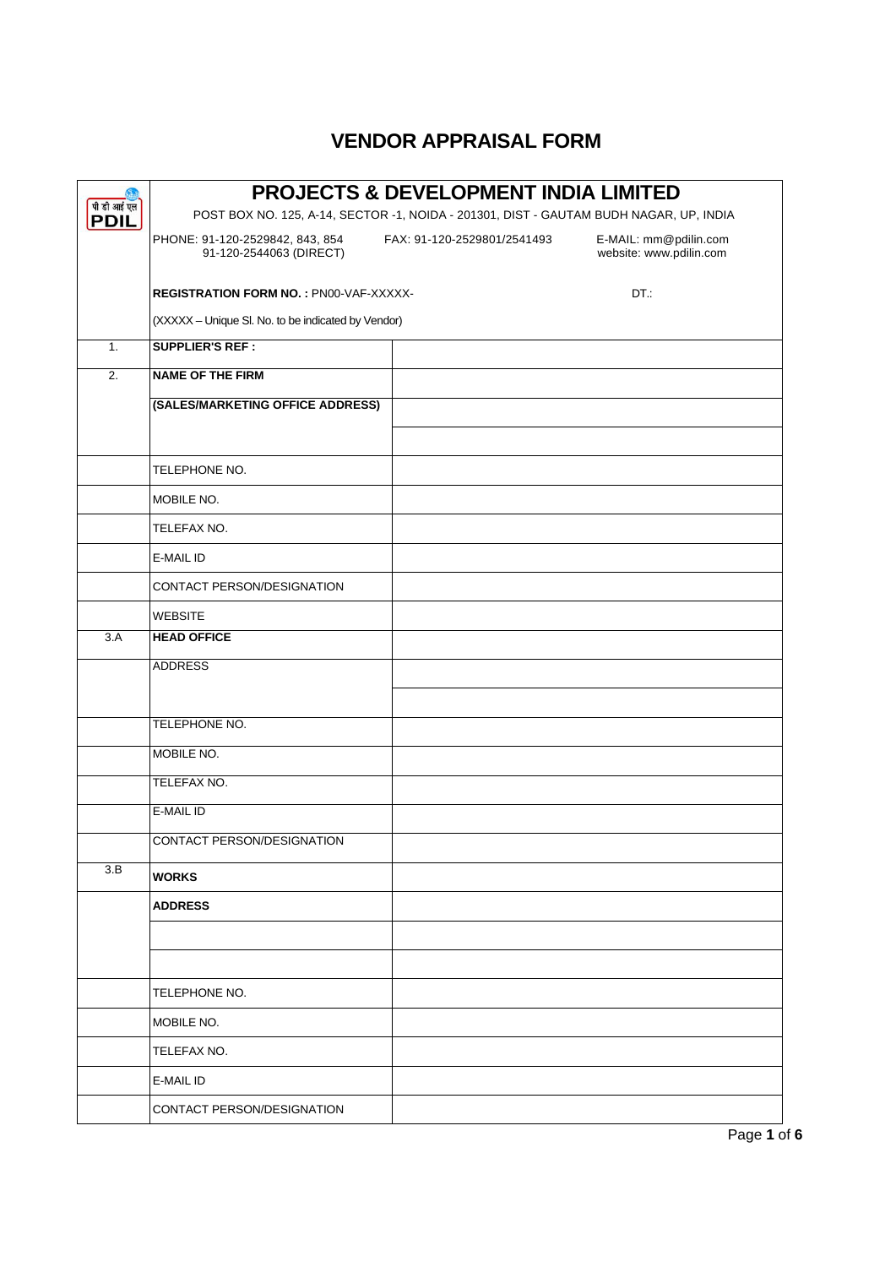|                            | <b>PROJECTS &amp; DEVELOPMENT INDIA LIMITED</b>                                        |                             |                                                  |  |  |  |
|----------------------------|----------------------------------------------------------------------------------------|-----------------------------|--------------------------------------------------|--|--|--|
| पी डी आई एल<br><b>PDIL</b> | POST BOX NO. 125, A-14, SECTOR -1, NOIDA - 201301, DIST - GAUTAM BUDH NAGAR, UP, INDIA |                             |                                                  |  |  |  |
|                            | PHONE: 91-120-2529842, 843, 854<br>91-120-2544063 (DIRECT)                             | FAX: 91-120-2529801/2541493 | E-MAIL: mm@pdilin.com<br>website: www.pdilin.com |  |  |  |
|                            | <b>REGISTRATION FORM NO.: PN00-VAF-XXXXX-</b>                                          |                             | DT.:                                             |  |  |  |
|                            | (XXXXX - Unique SI. No. to be indicated by Vendor)                                     |                             |                                                  |  |  |  |
| 1.                         | <b>SUPPLIER'S REF:</b>                                                                 |                             |                                                  |  |  |  |
| $\overline{2}$ .           | <b>NAME OF THE FIRM</b>                                                                |                             |                                                  |  |  |  |
|                            | (SALES/MARKETING OFFICE ADDRESS)                                                       |                             |                                                  |  |  |  |
|                            | TELEPHONE NO.                                                                          |                             |                                                  |  |  |  |
|                            | <b>MOBILE NO.</b>                                                                      |                             |                                                  |  |  |  |
|                            | TELEFAX NO.                                                                            |                             |                                                  |  |  |  |
|                            | E-MAIL ID                                                                              |                             |                                                  |  |  |  |
|                            | CONTACT PERSON/DESIGNATION                                                             |                             |                                                  |  |  |  |
|                            | <b>WEBSITE</b>                                                                         |                             |                                                  |  |  |  |
| 3.A                        | <b>HEAD OFFICE</b>                                                                     |                             |                                                  |  |  |  |
|                            | <b>ADDRESS</b>                                                                         |                             |                                                  |  |  |  |
|                            | <b>TELEPHONE NO.</b>                                                                   |                             |                                                  |  |  |  |
|                            | MOBILE NO.                                                                             |                             |                                                  |  |  |  |
|                            | TELEFAX NO.                                                                            |                             |                                                  |  |  |  |
|                            | E-MAIL ID                                                                              |                             |                                                  |  |  |  |
|                            | CONTACT PERSON/DESIGNATION                                                             |                             |                                                  |  |  |  |
| 3.B                        | <b>WORKS</b>                                                                           |                             |                                                  |  |  |  |
|                            | <b>ADDRESS</b>                                                                         |                             |                                                  |  |  |  |
|                            |                                                                                        |                             |                                                  |  |  |  |
|                            |                                                                                        |                             |                                                  |  |  |  |
|                            | TELEPHONE NO.                                                                          |                             |                                                  |  |  |  |
|                            | MOBILE NO.                                                                             |                             |                                                  |  |  |  |
|                            | TELEFAX NO.                                                                            |                             |                                                  |  |  |  |
|                            | <b>E-MAIL ID</b>                                                                       |                             |                                                  |  |  |  |
|                            | CONTACT PERSON/DESIGNATION                                                             |                             |                                                  |  |  |  |

## **VENDOR APPRAISAL FORM**

Page **1** of **6**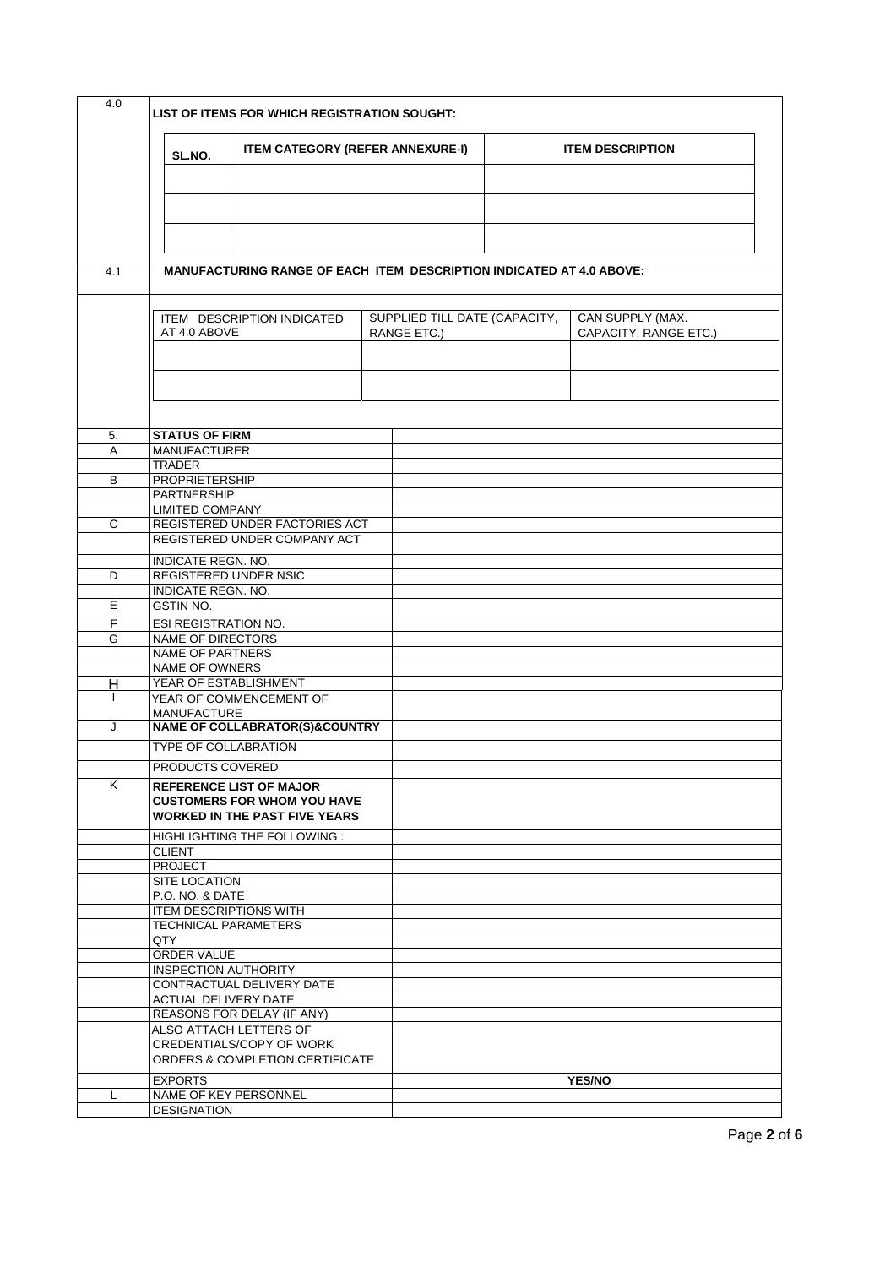| 4.0 |                                                     | LIST OF ITEMS FOR WHICH REGISTRATION SOUGHT:                                |                               |  |                         |  |
|-----|-----------------------------------------------------|-----------------------------------------------------------------------------|-------------------------------|--|-------------------------|--|
|     | <b>ITEM CATEGORY (REFER ANNEXURE-I)</b><br>SL.NO.   |                                                                             |                               |  | <b>ITEM DESCRIPTION</b> |  |
|     |                                                     |                                                                             |                               |  |                         |  |
|     |                                                     |                                                                             |                               |  |                         |  |
|     |                                                     |                                                                             |                               |  |                         |  |
|     |                                                     |                                                                             |                               |  |                         |  |
| 4.1 |                                                     | <b>MANUFACTURING RANGE OF EACH ITEM DESCRIPTION INDICATED AT 4.0 ABOVE:</b> |                               |  |                         |  |
|     |                                                     | ITEM DESCRIPTION INDICATED                                                  | SUPPLIED TILL DATE (CAPACITY, |  | CAN SUPPLY (MAX.        |  |
|     | AT 4.0 ABOVE                                        |                                                                             | RANGE ETC.)                   |  | CAPACITY, RANGE ETC.)   |  |
|     |                                                     |                                                                             |                               |  |                         |  |
|     |                                                     |                                                                             |                               |  |                         |  |
|     |                                                     |                                                                             |                               |  |                         |  |
| 5.  | <b>STATUS OF FIRM</b>                               |                                                                             |                               |  |                         |  |
| A   | <b>MANUFACTURER</b>                                 |                                                                             |                               |  |                         |  |
| B   | <b>TRADER</b><br><b>PROPRIETERSHIP</b>              |                                                                             |                               |  |                         |  |
|     | <b>PARTNERSHIP</b>                                  |                                                                             |                               |  |                         |  |
|     | <b>LIMITED COMPANY</b>                              |                                                                             |                               |  |                         |  |
| C   |                                                     | REGISTERED UNDER FACTORIES ACT<br>REGISTERED UNDER COMPANY ACT              |                               |  |                         |  |
|     |                                                     |                                                                             |                               |  |                         |  |
| D   | INDICATE REGN. NO.<br>REGISTERED UNDER NSIC         |                                                                             |                               |  |                         |  |
|     | <b>INDICATE REGN. NO.</b>                           |                                                                             |                               |  |                         |  |
| E   | GSTIN NO.                                           |                                                                             |                               |  |                         |  |
| F   | ESI REGISTRATION NO.                                |                                                                             |                               |  |                         |  |
| G   | <b>NAME OF DIRECTORS</b><br><b>NAME OF PARTNERS</b> |                                                                             |                               |  |                         |  |
|     | <b>NAME OF OWNERS</b>                               |                                                                             |                               |  |                         |  |
| Н   | YEAR OF ESTABLISHMENT                               |                                                                             |                               |  |                         |  |
|     |                                                     | YEAR OF COMMENCEMENT OF                                                     |                               |  |                         |  |
| J   | <b>MANUFACTURE</b>                                  | <b>NAME OF COLLABRATOR(S)&amp;COUNTRY</b>                                   |                               |  |                         |  |
|     | <b>TYPE OF COLLABRATION</b>                         |                                                                             |                               |  |                         |  |
|     | <b>PRODUCTS COVERED</b>                             |                                                                             |                               |  |                         |  |
| K   |                                                     | <b>REFERENCE LIST OF MAJOR</b>                                              |                               |  |                         |  |
|     |                                                     | <b>CUSTOMERS FOR WHOM YOU HAVE</b><br><b>WORKED IN THE PAST FIVE YEARS</b>  |                               |  |                         |  |
|     |                                                     | <b>HIGHLIGHTING THE FOLLOWING:</b>                                          |                               |  |                         |  |
|     | <b>CLIENT</b><br><b>PROJECT</b>                     |                                                                             |                               |  |                         |  |
|     | SITE LOCATION                                       |                                                                             |                               |  |                         |  |
|     | <b>P.O. NO. &amp; DATE</b>                          |                                                                             |                               |  |                         |  |
|     | <b>ITEM DESCRIPTIONS WITH</b>                       |                                                                             |                               |  |                         |  |
|     | <b>TECHNICAL PARAMETERS</b><br>QTY                  |                                                                             |                               |  |                         |  |
|     | ORDER VALUE                                         |                                                                             |                               |  |                         |  |
|     | <b>INSPECTION AUTHORITY</b>                         |                                                                             |                               |  |                         |  |
|     | <b>ACTUAL DELIVERY DATE</b>                         | CONTRACTUAL DELIVERY DATE                                                   |                               |  |                         |  |
|     |                                                     | REASONS FOR DELAY (IF ANY)                                                  |                               |  |                         |  |
|     |                                                     | ALSO ATTACH LETTERS OF                                                      |                               |  |                         |  |
|     |                                                     | <b>CREDENTIALS/COPY OF WORK</b>                                             |                               |  |                         |  |
|     |                                                     | ORDERS & COMPLETION CERTIFICATE                                             |                               |  |                         |  |
| L   | <b>EXPORTS</b><br>NAME OF KEY PERSONNEL             |                                                                             |                               |  | <b>YES/NO</b>           |  |
|     | <b>DESIGNATION</b>                                  |                                                                             |                               |  |                         |  |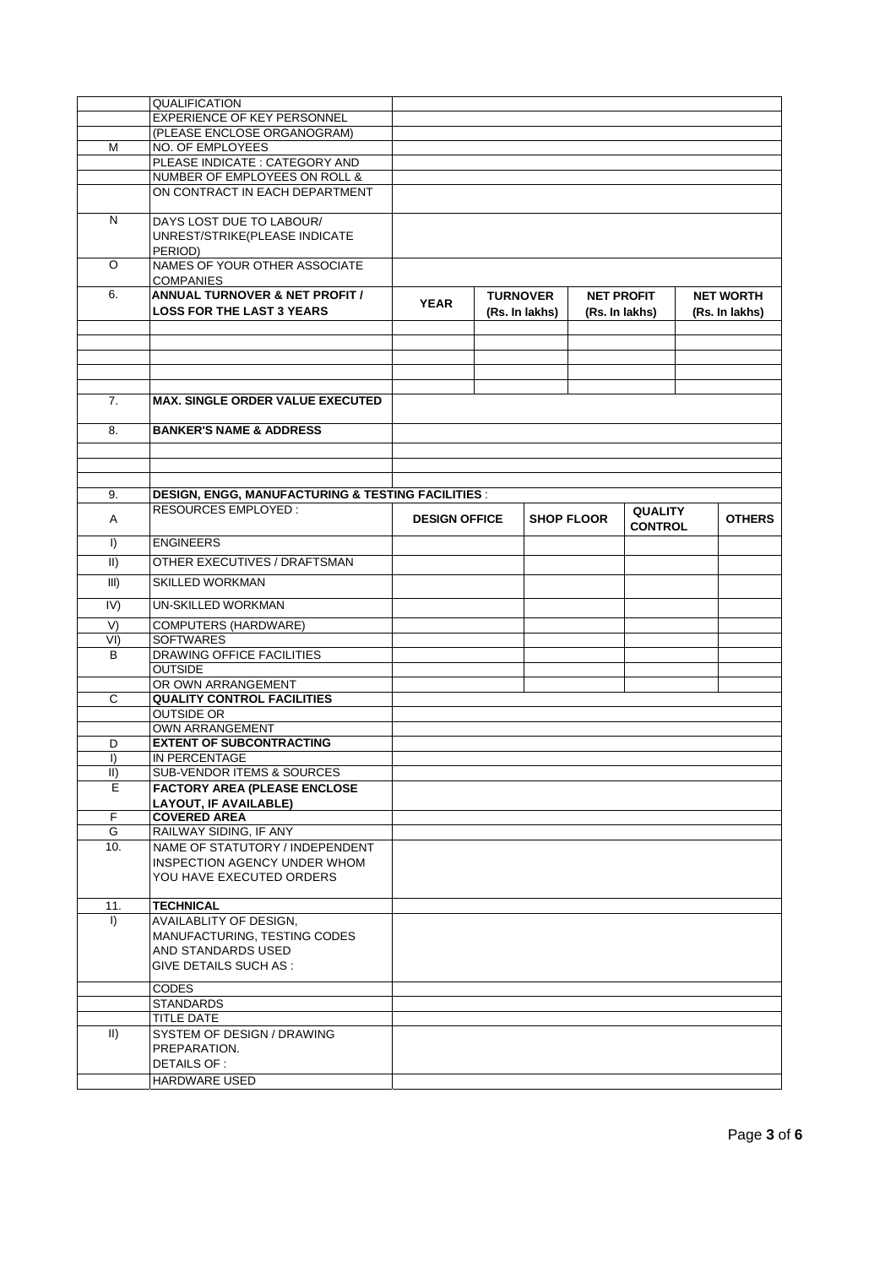|                | <b>QUALIFICATION</b>                                         |                      |                 |                |                   |                |                  |
|----------------|--------------------------------------------------------------|----------------------|-----------------|----------------|-------------------|----------------|------------------|
|                | <b>EXPERIENCE OF KEY PERSONNEL</b>                           |                      |                 |                |                   |                |                  |
|                | (PLEASE ENCLOSE ORGANOGRAM)                                  |                      |                 |                |                   |                |                  |
| M              | NO. OF EMPLOYEES                                             |                      |                 |                |                   |                |                  |
|                | PLEASE INDICATE: CATEGORY AND                                |                      |                 |                |                   |                |                  |
|                | NUMBER OF EMPLOYEES ON ROLL &                                |                      |                 |                |                   |                |                  |
|                | ON CONTRACT IN EACH DEPARTMENT                               |                      |                 |                |                   |                |                  |
|                |                                                              |                      |                 |                |                   |                |                  |
| N              | DAYS LOST DUE TO LABOUR/                                     |                      |                 |                |                   |                |                  |
|                | UNREST/STRIKE(PLEASE INDICATE                                |                      |                 |                |                   |                |                  |
|                | PERIOD)                                                      |                      |                 |                |                   |                |                  |
| O              | NAMES OF YOUR OTHER ASSOCIATE                                |                      |                 |                |                   |                |                  |
|                | <b>COMPANIES</b>                                             |                      |                 |                |                   |                |                  |
| 6.             | <b>ANNUAL TURNOVER &amp; NET PROFIT /</b>                    |                      |                 |                |                   |                |                  |
|                | <b>LOSS FOR THE LAST 3 YEARS</b>                             | <b>YEAR</b>          | <b>TURNOVER</b> |                | <b>NET PROFIT</b> |                | <b>NET WORTH</b> |
|                |                                                              |                      |                 | (Rs. In lakhs) | (Rs. In lakhs)    |                | (Rs. In lakhs)   |
|                |                                                              |                      |                 |                |                   |                |                  |
|                |                                                              |                      |                 |                |                   |                |                  |
|                |                                                              |                      |                 |                |                   |                |                  |
|                |                                                              |                      |                 |                |                   |                |                  |
| 7.             | <b>MAX. SINGLE ORDER VALUE EXECUTED</b>                      |                      |                 |                |                   |                |                  |
|                |                                                              |                      |                 |                |                   |                |                  |
| 8.             | <b>BANKER'S NAME &amp; ADDRESS</b>                           |                      |                 |                |                   |                |                  |
|                |                                                              |                      |                 |                |                   |                |                  |
|                |                                                              |                      |                 |                |                   |                |                  |
|                |                                                              |                      |                 |                |                   |                |                  |
|                |                                                              |                      |                 |                |                   |                |                  |
| 9.             | <b>DESIGN, ENGG, MANUFACTURING &amp; TESTING FACILITIES:</b> |                      |                 |                |                   |                |                  |
| Α              | <b>RESOURCES EMPLOYED:</b>                                   | <b>DESIGN OFFICE</b> |                 |                | <b>SHOP FLOOR</b> | <b>QUALITY</b> | <b>OTHERS</b>    |
|                |                                                              |                      |                 |                |                   | <b>CONTROL</b> |                  |
| $\overline{I}$ | <b>ENGINEERS</b>                                             |                      |                 |                |                   |                |                  |
| II)            | OTHER EXECUTIVES / DRAFTSMAN                                 |                      |                 |                |                   |                |                  |
| III)           | <b>SKILLED WORKMAN</b>                                       |                      |                 |                |                   |                |                  |
|                |                                                              |                      |                 |                |                   |                |                  |
| IV)            | <b>UN-SKILLED WORKMAN</b>                                    |                      |                 |                |                   |                |                  |
| V)             | <b>COMPUTERS (HARDWARE)</b>                                  |                      |                 |                |                   |                |                  |
| VI             | <b>SOFTWARES</b>                                             |                      |                 |                |                   |                |                  |
| B              | DRAWING OFFICE FACILITIES                                    |                      |                 |                |                   |                |                  |
|                | <b>OUTSIDE</b>                                               |                      |                 |                |                   |                |                  |
|                | OR OWN ARRANGEMENT                                           |                      |                 |                |                   |                |                  |
| С              | <b>QUALITY CONTROL FACILITIES</b>                            |                      |                 |                |                   |                |                  |
|                | <b>OUTSIDE OR</b>                                            |                      |                 |                |                   |                |                  |
|                | <b>OWN ARRANGEMENT</b>                                       |                      |                 |                |                   |                |                  |
| D              | <b>EXTENT OF SUBCONTRACTING</b>                              |                      |                 |                |                   |                |                  |
| $\mathsf{I}$   | IN PERCENTAGE                                                |                      |                 |                |                   |                |                  |
| $\parallel$    | <b>SUB-VENDOR ITEMS &amp; SOURCES</b>                        |                      |                 |                |                   |                |                  |
| E              | <b>FACTORY AREA (PLEASE ENCLOSE</b>                          |                      |                 |                |                   |                |                  |
|                | LAYOUT, IF AVAILABLE)                                        |                      |                 |                |                   |                |                  |
| F              | <b>COVERED AREA</b>                                          |                      |                 |                |                   |                |                  |
| G              | RAILWAY SIDING, IF ANY                                       |                      |                 |                |                   |                |                  |
| 10.            | NAME OF STATUTORY / INDEPENDENT                              |                      |                 |                |                   |                |                  |
|                | INSPECTION AGENCY UNDER WHOM                                 |                      |                 |                |                   |                |                  |
|                | YOU HAVE EXECUTED ORDERS                                     |                      |                 |                |                   |                |                  |
|                |                                                              |                      |                 |                |                   |                |                  |
| 11.            | <b>TECHNICAL</b>                                             |                      |                 |                |                   |                |                  |
| $\vert$        | <b>AVAILABLITY OF DESIGN,</b>                                |                      |                 |                |                   |                |                  |
|                | MANUFACTURING, TESTING CODES                                 |                      |                 |                |                   |                |                  |
|                | AND STANDARDS USED                                           |                      |                 |                |                   |                |                  |
|                | GIVE DETAILS SUCH AS :                                       |                      |                 |                |                   |                |                  |
|                |                                                              |                      |                 |                |                   |                |                  |
|                | <b>CODES</b><br>STANDARDS                                    |                      |                 |                |                   |                |                  |
|                | <b>TITLE DATE</b>                                            |                      |                 |                |                   |                |                  |
| $\vert \vert$  |                                                              |                      |                 |                |                   |                |                  |
|                | SYSTEM OF DESIGN / DRAWING                                   |                      |                 |                |                   |                |                  |
|                | PREPARATION.                                                 |                      |                 |                |                   |                |                  |
|                | DETAILS OF :                                                 |                      |                 |                |                   |                |                  |
|                | <b>HARDWARE USED</b>                                         |                      |                 |                |                   |                |                  |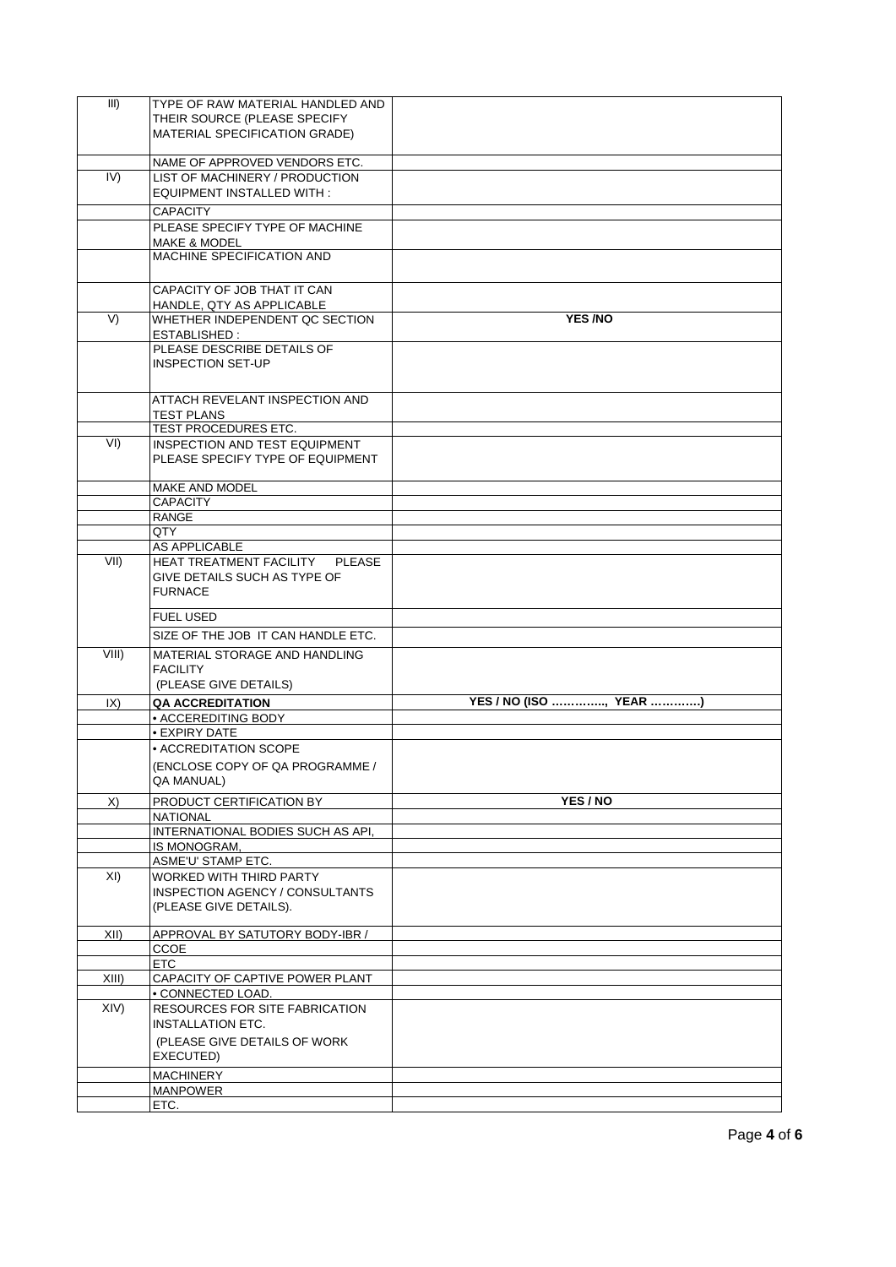| III)        | TYPE OF RAW MATERIAL HANDLED AND                             |                        |
|-------------|--------------------------------------------------------------|------------------------|
|             | THEIR SOURCE (PLEASE SPECIFY                                 |                        |
|             | MATERIAL SPECIFICATION GRADE)                                |                        |
|             |                                                              |                        |
|             | NAME OF APPROVED VENDORS ETC.                                |                        |
| IV)         | LIST OF MACHINERY / PRODUCTION                               |                        |
|             | <b>EQUIPMENT INSTALLED WITH:</b>                             |                        |
|             |                                                              |                        |
|             | <b>CAPACITY</b>                                              |                        |
|             | PLEASE SPECIFY TYPE OF MACHINE                               |                        |
|             | <b>MAKE &amp; MODEL</b><br>MACHINE SPECIFICATION AND         |                        |
|             |                                                              |                        |
|             |                                                              |                        |
|             | CAPACITY OF JOB THAT IT CAN                                  |                        |
|             | HANDLE, QTY AS APPLICABLE                                    | YES /NO                |
| V)          | WHETHER INDEPENDENT QC SECTION<br>ESTABLISHED :              |                        |
|             | PLEASE DESCRIBE DETAILS OF                                   |                        |
|             | <b>INSPECTION SET-UP</b>                                     |                        |
|             |                                                              |                        |
|             |                                                              |                        |
|             | ATTACH REVELANT INSPECTION AND                               |                        |
|             | <b>TEST PLANS</b>                                            |                        |
| VI)         | <b>TEST PROCEDURES ETC.</b><br>INSPECTION AND TEST EQUIPMENT |                        |
|             | PLEASE SPECIFY TYPE OF EQUIPMENT                             |                        |
|             |                                                              |                        |
|             | <b>MAKE AND MODEL</b>                                        |                        |
|             | <b>CAPACITY</b>                                              |                        |
|             | <b>RANGE</b>                                                 |                        |
|             | QTY                                                          |                        |
|             | AS APPLICABLE                                                |                        |
| VII)        | HEAT TREATMENT FACILITY PLEASE                               |                        |
|             | GIVE DETAILS SUCH AS TYPE OF                                 |                        |
|             | <b>FURNACE</b>                                               |                        |
|             |                                                              |                        |
|             |                                                              |                        |
|             | <b>FUEL USED</b>                                             |                        |
|             | SIZE OF THE JOB IT CAN HANDLE ETC.                           |                        |
| $VIII$ )    | MATERIAL STORAGE AND HANDLING                                |                        |
|             | <b>FACILITY</b>                                              |                        |
|             | (PLEASE GIVE DETAILS)                                        |                        |
| $ X\rangle$ | <b>QA ACCREDITATION</b>                                      | YES / NO (ISO , YEAR ) |
|             | • ACCEREDITING BODY                                          |                        |
|             | • EXPIRY DATE                                                |                        |
|             | • ACCREDITATION SCOPE                                        |                        |
|             | (ENCLOSE COPY OF QA PROGRAMME /                              |                        |
|             | QA MANUAL)                                                   |                        |
|             |                                                              |                        |
| X)          | PRODUCT CERTIFICATION BY                                     | YES / NO               |
|             | <b>NATIONAL</b>                                              |                        |
|             | INTERNATIONAL BODIES SUCH AS API,<br>IS MONOGRAM,            |                        |
|             | <b>ASME'U' STAMP ETC.</b>                                    |                        |
| XI)         | WORKED WITH THIRD PARTY                                      |                        |
|             | INSPECTION AGENCY / CONSULTANTS                              |                        |
|             | (PLEASE GIVE DETAILS).                                       |                        |
|             |                                                              |                        |
| XII)        | APPROVAL BY SATUTORY BODY-IBR /                              |                        |
|             | CCOE                                                         |                        |
|             | <b>ETC</b>                                                   |                        |
| $XIII$ )    | CAPACITY OF CAPTIVE POWER PLANT                              |                        |
|             | • CONNECTED LOAD.                                            |                        |
| XIV         | RESOURCES FOR SITE FABRICATION                               |                        |
|             | <b>INSTALLATION ETC.</b>                                     |                        |
|             | (PLEASE GIVE DETAILS OF WORK                                 |                        |
|             | EXECUTED)                                                    |                        |
|             | <b>MACHINERY</b>                                             |                        |
|             | <b>MANPOWER</b><br>ETC.                                      |                        |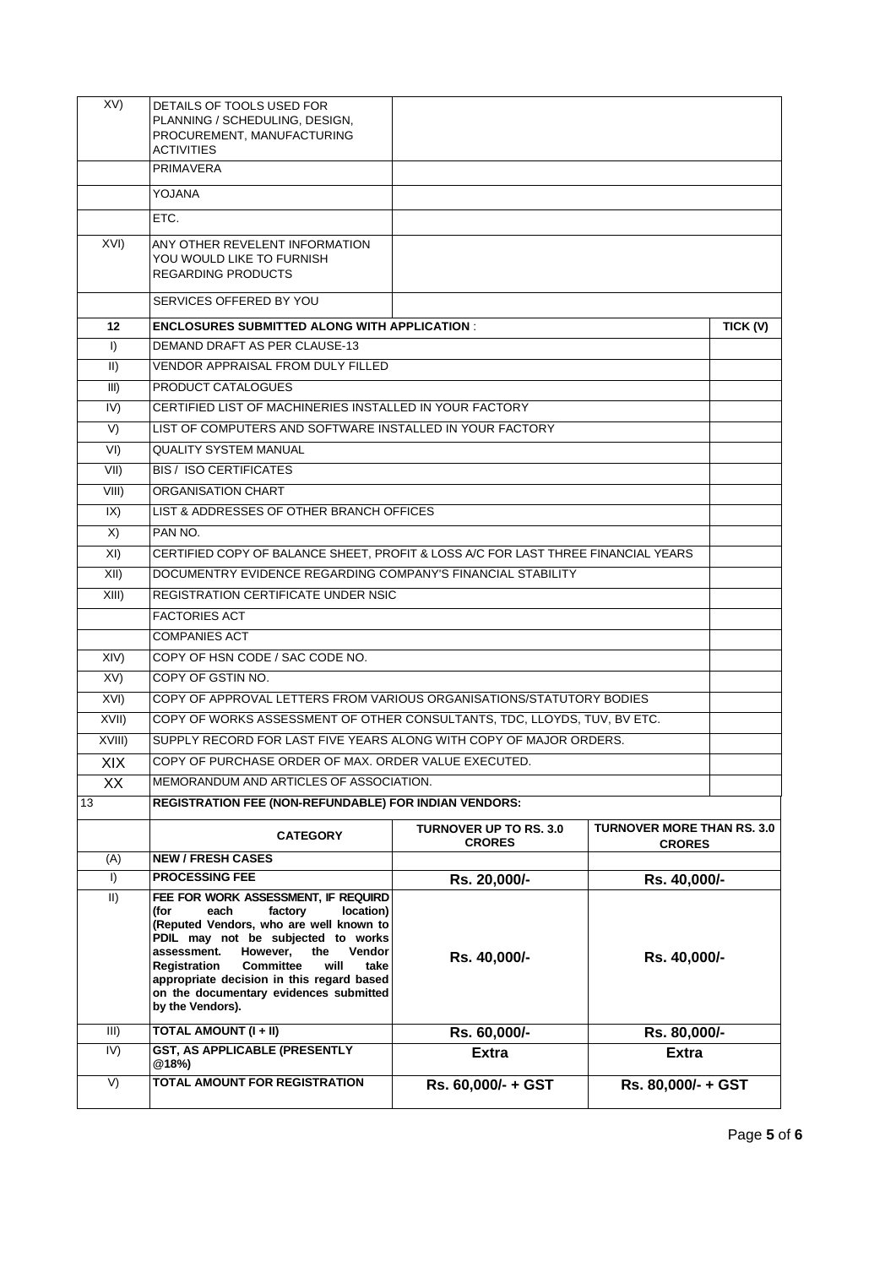| XV)             | DETAILS OF TOOLS USED FOR<br>PLANNING / SCHEDULING, DESIGN,<br>PROCUREMENT, MANUFACTURING<br><b>ACTIVITIES</b>                                                                                                                                                                                                                                                          |                                                |                                                    |  |  |  |
|-----------------|-------------------------------------------------------------------------------------------------------------------------------------------------------------------------------------------------------------------------------------------------------------------------------------------------------------------------------------------------------------------------|------------------------------------------------|----------------------------------------------------|--|--|--|
|                 | <b>PRIMAVERA</b>                                                                                                                                                                                                                                                                                                                                                        |                                                |                                                    |  |  |  |
|                 | YOJANA                                                                                                                                                                                                                                                                                                                                                                  |                                                |                                                    |  |  |  |
|                 | ETC.                                                                                                                                                                                                                                                                                                                                                                    |                                                |                                                    |  |  |  |
| XVI)            | ANY OTHER REVELENT INFORMATION<br>YOU WOULD LIKE TO FURNISH<br><b>REGARDING PRODUCTS</b>                                                                                                                                                                                                                                                                                |                                                |                                                    |  |  |  |
|                 | SERVICES OFFERED BY YOU                                                                                                                                                                                                                                                                                                                                                 |                                                |                                                    |  |  |  |
| 12              | <b>ENCLOSURES SUBMITTED ALONG WITH APPLICATION:</b>                                                                                                                                                                                                                                                                                                                     |                                                | TICK (V)                                           |  |  |  |
| $\vert$         | DEMAND DRAFT AS PER CLAUSE-13                                                                                                                                                                                                                                                                                                                                           |                                                |                                                    |  |  |  |
| II)             | VENDOR APPRAISAL FROM DULY FILLED                                                                                                                                                                                                                                                                                                                                       |                                                |                                                    |  |  |  |
| III)            | PRODUCT CATALOGUES                                                                                                                                                                                                                                                                                                                                                      |                                                |                                                    |  |  |  |
| IV)             | CERTIFIED LIST OF MACHINERIES INSTALLED IN YOUR FACTORY                                                                                                                                                                                                                                                                                                                 |                                                |                                                    |  |  |  |
| V)              | LIST OF COMPUTERS AND SOFTWARE INSTALLED IN YOUR FACTORY                                                                                                                                                                                                                                                                                                                |                                                |                                                    |  |  |  |
| VI)             | <b>QUALITY SYSTEM MANUAL</b>                                                                                                                                                                                                                                                                                                                                            |                                                |                                                    |  |  |  |
| VII)            | <b>BIS / ISO CERTIFICATES</b>                                                                                                                                                                                                                                                                                                                                           |                                                |                                                    |  |  |  |
| VIII)           | ORGANISATION CHART                                                                                                                                                                                                                                                                                                                                                      |                                                |                                                    |  |  |  |
| IX)             | LIST & ADDRESSES OF OTHER BRANCH OFFICES                                                                                                                                                                                                                                                                                                                                |                                                |                                                    |  |  |  |
| X)              | PAN NO.                                                                                                                                                                                                                                                                                                                                                                 |                                                |                                                    |  |  |  |
| XI)             | CERTIFIED COPY OF BALANCE SHEET, PROFIT & LOSS A/C FOR LAST THREE FINANCIAL YEARS                                                                                                                                                                                                                                                                                       |                                                |                                                    |  |  |  |
| XII)            | DOCUMENTRY EVIDENCE REGARDING COMPANY'S FINANCIAL STABILITY                                                                                                                                                                                                                                                                                                             |                                                |                                                    |  |  |  |
| XIII)           | REGISTRATION CERTIFICATE UNDER NSIC                                                                                                                                                                                                                                                                                                                                     |                                                |                                                    |  |  |  |
|                 | <b>FACTORIES ACT</b>                                                                                                                                                                                                                                                                                                                                                    |                                                |                                                    |  |  |  |
|                 | <b>COMPANIES ACT</b>                                                                                                                                                                                                                                                                                                                                                    |                                                |                                                    |  |  |  |
| XIV             | COPY OF HSN CODE / SAC CODE NO.                                                                                                                                                                                                                                                                                                                                         |                                                |                                                    |  |  |  |
| XV              | COPY OF GSTIN NO.                                                                                                                                                                                                                                                                                                                                                       |                                                |                                                    |  |  |  |
| XVI)            | COPY OF APPROVAL LETTERS FROM VARIOUS ORGANISATIONS/STATUTORY BODIES                                                                                                                                                                                                                                                                                                    |                                                |                                                    |  |  |  |
| XVII)           | COPY OF WORKS ASSESSMENT OF OTHER CONSULTANTS, TDC, LLOYDS, TUV, BV ETC.                                                                                                                                                                                                                                                                                                |                                                |                                                    |  |  |  |
| XVIII)          | SUPPLY RECORD FOR LAST FIVE YEARS ALONG WITH COPY OF MAJOR ORDERS.                                                                                                                                                                                                                                                                                                      |                                                |                                                    |  |  |  |
| XIX             | COPY OF PURCHASE ORDER OF MAX. ORDER VALUE EXECUTED.                                                                                                                                                                                                                                                                                                                    |                                                |                                                    |  |  |  |
| XX              | MEMORANDUM AND ARTICLES OF ASSOCIATION.                                                                                                                                                                                                                                                                                                                                 |                                                |                                                    |  |  |  |
| 13              | <b>REGISTRATION FEE (NON-REFUNDABLE) FOR INDIAN VENDORS:</b>                                                                                                                                                                                                                                                                                                            |                                                |                                                    |  |  |  |
|                 | <b>CATEGORY</b>                                                                                                                                                                                                                                                                                                                                                         | <b>TURNOVER UP TO RS. 3.0</b><br><b>CRORES</b> | <b>TURNOVER MORE THAN RS. 3.0</b><br><b>CRORES</b> |  |  |  |
| (A)             | <b>NEW / FRESH CASES</b>                                                                                                                                                                                                                                                                                                                                                |                                                |                                                    |  |  |  |
| I)              | <b>PROCESSING FEE</b>                                                                                                                                                                                                                                                                                                                                                   | Rs. 20,000/-                                   | Rs. 40,000/-                                       |  |  |  |
| II)             | FEE FOR WORK ASSESSMENT, IF REQUIRD<br>(for<br>factory<br>location)<br>each<br>(Reputed Vendors, who are well known to<br>PDIL may not be subjected to works<br>However,<br>assessment.<br>the<br>Vendor<br>Registration<br><b>Committee</b><br>will<br>take<br>appropriate decision in this regard based<br>on the documentary evidences submitted<br>by the Vendors). | Rs. 40,000/-                                   | Rs. 40,000/-                                       |  |  |  |
| III)            | TOTAL AMOUNT (I + II)<br>Rs. 60,000/-<br>Rs. 80,000/-                                                                                                                                                                                                                                                                                                                   |                                                |                                                    |  |  |  |
| $\overline{IV}$ | GST, AS APPLICABLE (PRESENTLY<br>@18%                                                                                                                                                                                                                                                                                                                                   | <b>Extra</b>                                   | <b>Extra</b>                                       |  |  |  |
| V)              | TOTAL AMOUNT FOR REGISTRATION                                                                                                                                                                                                                                                                                                                                           | Rs. 60,000/- + GST                             | Rs. 80,000/- + GST                                 |  |  |  |